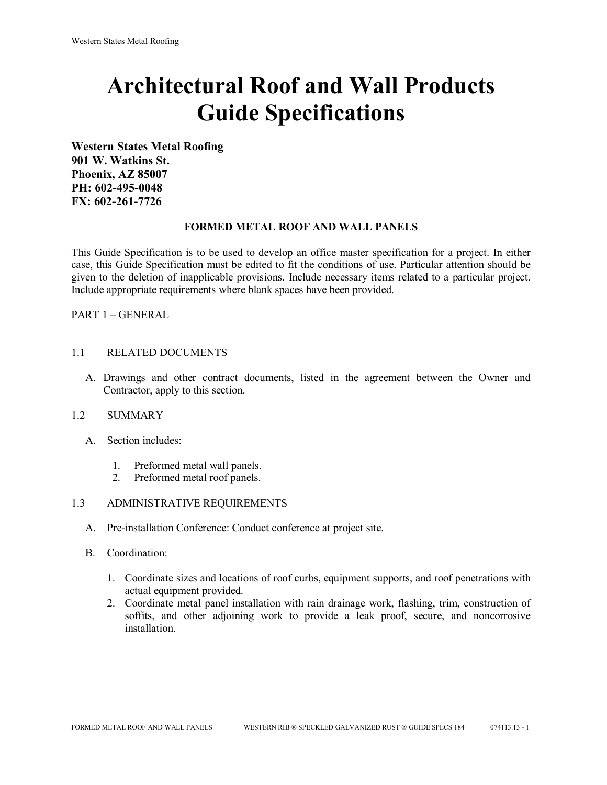# **Architectural Roof and Wall Products Guide Specifications**

**Western States Metal Roofing 901 W. Watkins St. Phoenix, AZ 85007 PH: 602-495-0048 FX: 602-261-7726**

#### **FORMED METAL ROOF AND WALL PANELS**

This Guide Specification is to be used to develop an office master specification for a project. In either case, this Guide Specification must be edited to fit the conditions of use. Particular attention should be given to the deletion of inapplicable provisions. Include necessary items related to a particular project. Include appropriate requirements where blank spaces have been provided.

PART 1 – GENERAL

#### 1.1 RELATED DOCUMENTS

A. Drawings and other contract documents, listed in the agreement between the Owner and Contractor, apply to this section.

#### 1.2 SUMMARY

- A. Section includes:
	- 1. Preformed metal wall panels.
	- 2. Preformed metal roof panels.

#### 1.3 ADMINISTRATIVE REQUIREMENTS

- A. Pre-installation Conference: Conduct conference at project site.
- B. Coordination:
	- 1. Coordinate sizes and locations of roof curbs, equipment supports, and roof penetrations with actual equipment provided.
	- 2. Coordinate metal panel installation with rain drainage work, flashing, trim, construction of soffits, and other adjoining work to provide a leak proof, secure, and noncorrosive installation.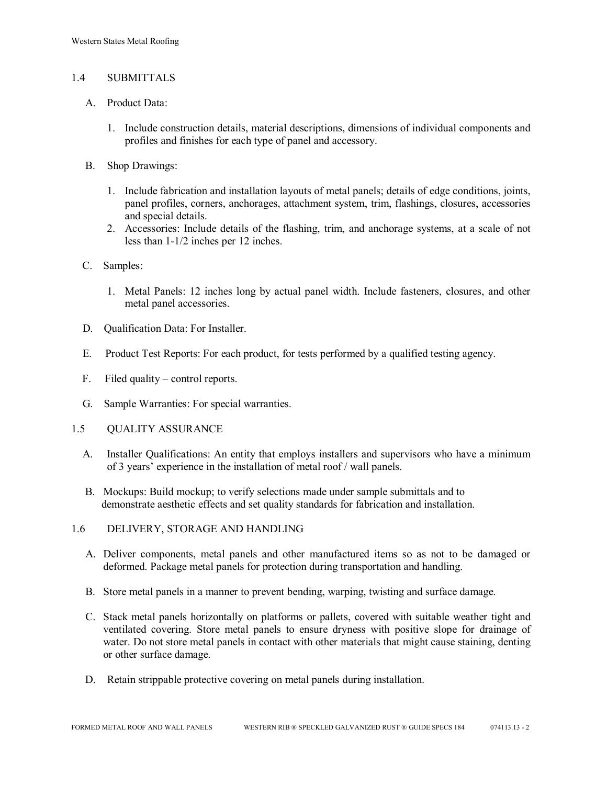#### 1.4 SUBMITTALS

- A. Product Data:
	- 1. Include construction details, material descriptions, dimensions of individual components and profiles and finishes for each type of panel and accessory.
- B. Shop Drawings:
	- 1. Include fabrication and installation layouts of metal panels; details of edge conditions, joints, panel profiles, corners, anchorages, attachment system, trim, flashings, closures, accessories and special details.
	- 2. Accessories: Include details of the flashing, trim, and anchorage systems, at a scale of not less than 1-1/2 inches per 12 inches.
- C. Samples:
	- 1. Metal Panels: 12 inches long by actual panel width. Include fasteners, closures, and other metal panel accessories.
- D. Qualification Data: For Installer.
- E. Product Test Reports: For each product, for tests performed by a qualified testing agency.
- F. Filed quality control reports.
- G. Sample Warranties: For special warranties.
- 1.5 QUALITY ASSURANCE
	- A. Installer Qualifications: An entity that employs installers and supervisors who have a minimum of 3 years' experience in the installation of metal roof / wall panels.
	- B. Mockups: Build mockup; to verify selections made under sample submittals and to demonstrate aesthetic effects and set quality standards for fabrication and installation.
- 1.6 DELIVERY, STORAGE AND HANDLING
	- A. Deliver components, metal panels and other manufactured items so as not to be damaged or deformed. Package metal panels for protection during transportation and handling.
	- B. Store metal panels in a manner to prevent bending, warping, twisting and surface damage.
	- C. Stack metal panels horizontally on platforms or pallets, covered with suitable weather tight and ventilated covering. Store metal panels to ensure dryness with positive slope for drainage of water. Do not store metal panels in contact with other materials that might cause staining, denting or other surface damage.
	- D. Retain strippable protective covering on metal panels during installation.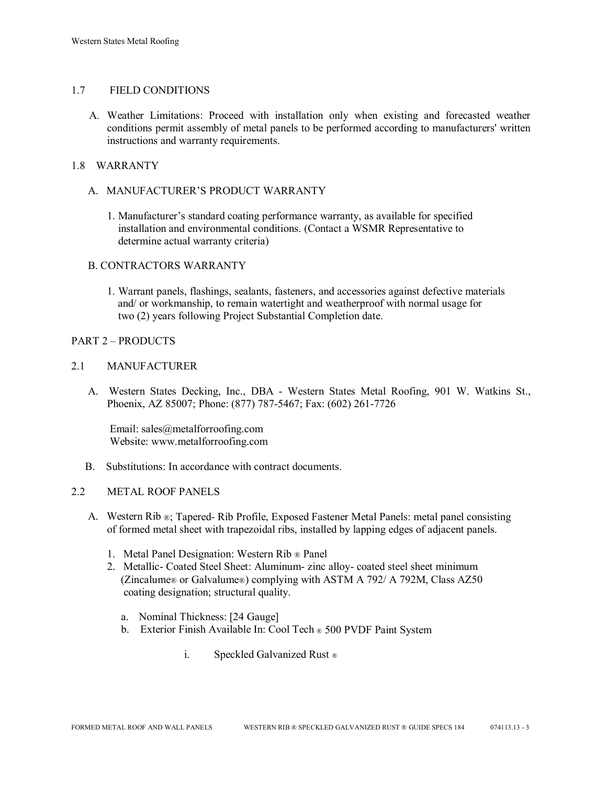## 1.7 FIELD CONDITIONS

A. Weather Limitations: Proceed with installation only when existing and forecasted weather conditions permit assembly of metal panels to be performed according to manufacturers' written instructions and warranty requirements.

## 1.8 WARRANTY

## A. MANUFACTURER'S PRODUCT WARRANTY

1. Manufacturer's standard coating performance warranty, as available for specified installation and environmental conditions. (Contact a WSMR Representative to determine actual warranty criteria)

## B. CONTRACTORS WARRANTY

1. Warrant panels, flashings, sealants, fasteners, and accessories against defective materials and/ or workmanship, to remain watertight and weatherproof with normal usage for two (2) years following Project Substantial Completion date.

## PART 2 – PRODUCTS

#### 2.1 MANUFACTURER

 A. Western States Decking, Inc., DBA - Western States Metal Roofing, 901 W. Watkins St., Phoenix, AZ 85007; Phone: (877) 787-5467; Fax: (602) 261-7726

Email: sales@metalforroofing.com Website: www.metalforroofing.com

B. Substitutions: In accordance with contract documents.

## 2.2 METAL ROOF PANELS

- A. Western Rib ®; Tapered- Rib Profile, Exposed Fastener Metal Panels: metal panel consisting of formed metal sheet with trapezoidal ribs, installed by lapping edges of adjacent panels.
	- 1. Metal Panel Designation: Western Rib ® Panel
	- 2. Metallic- Coated Steel Sheet: Aluminum- zinc alloy- coated steel sheet minimum (Zincalume® or Galvalume®) complying with ASTM A 792/ A 792M, Class AZ50 coating designation; structural quality.
		- a. Nominal Thickness: [24 Gauge]
		- b. Exterior Finish Available In: Cool Tech ® 500 PVDF Paint System
			- i. Speckled Galvanized Rust ®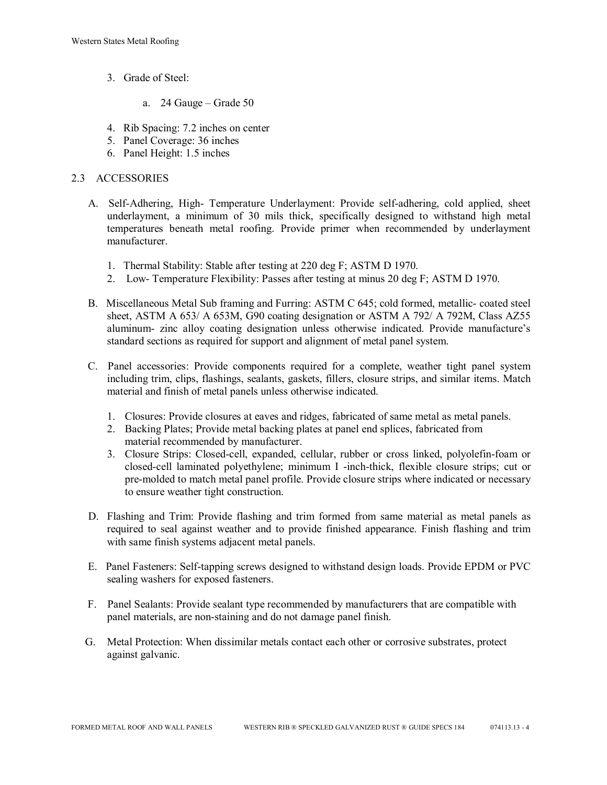- 3. Grade of Steel:
	- a. 24 Gauge Grade 50
- 4. Rib Spacing: 7.2 inches on center
- 5. Panel Coverage: 36 inches
- 6. Panel Height: 1.5 inches

## 2.3 ACCESSORIES

- A. Self-Adhering, High- Temperature Underlayment: Provide self-adhering, cold applied, sheet underlayment, a minimum of 30 mils thick, specifically designed to withstand high metal temperatures beneath metal roofing. Provide primer when recommended by underlayment manufacturer.
	- 1. Thermal Stability: Stable after testing at 220 deg F; ASTM D 1970.
	- 2. Low- Temperature Flexibility: Passes after testing at minus 20 deg F; ASTM D 1970.
- B. Miscellaneous Metal Sub framing and Furring: ASTM C 645; cold formed, metallic- coated steel sheet, ASTM A 653/ A 653M, G90 coating designation or ASTM A 792/ A 792M, Class AZ55 aluminum- zinc alloy coating designation unless otherwise indicated. Provide manufacture's standard sections as required for support and alignment of metal panel system.
- C. Panel accessories: Provide components required for a complete, weather tight panel system including trim, clips, flashings, sealants, gaskets, fillers, closure strips, and similar items. Match material and finish of metal panels unless otherwise indicated.
	- 1. Closures: Provide closures at eaves and ridges, fabricated of same metal as metal panels.
	- 2. Backing Plates; Provide metal backing plates at panel end splices, fabricated from material recommended by manufacturer.
	- 3. Closure Strips: Closed-cell, expanded, cellular, rubber or cross linked, polyolefin-foam or closed-cell laminated polyethylene; minimum I -inch-thick, flexible closure strips; cut or pre-molded to match metal panel profile. Provide closure strips where indicated or necessary to ensure weather tight construction.
- D. Flashing and Trim: Provide flashing and trim formed from same material as metal panels as required to seal against weather and to provide finished appearance. Finish flashing and trim with same finish systems adjacent metal panels.
- E. Panel Fasteners: Self-tapping screws designed to withstand design loads. Provide EPDM or PVC sealing washers for exposed fasteners.
- F. Panel Sealants: Provide sealant type recommended by manufacturers that are compatible with panel materials, are non-staining and do not damage panel finish.
- G. Metal Protection: When dissimilar metals contact each other or corrosive substrates, protect against galvanic.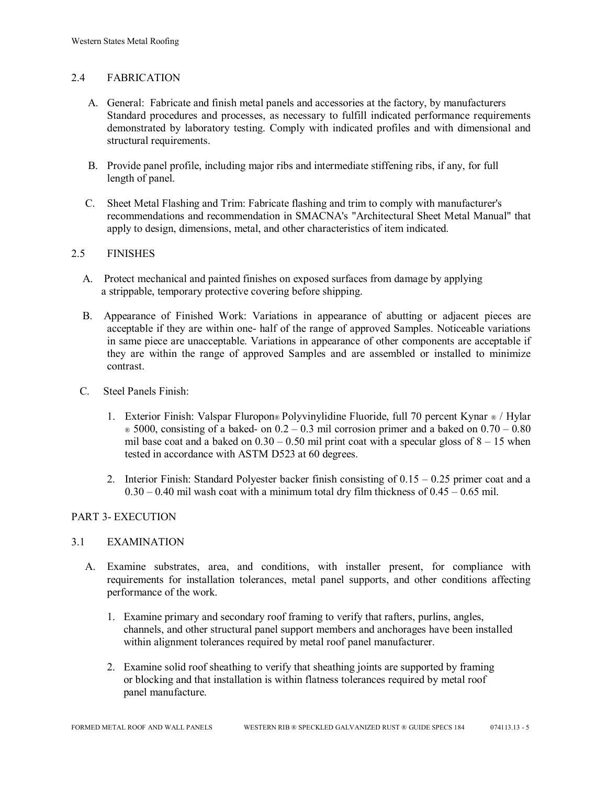## 2.4 FABRICATION

- A. General: Fabricate and finish metal panels and accessories at the factory, by manufacturers Standard procedures and processes, as necessary to fulfill indicated performance requirements demonstrated by laboratory testing. Comply with indicated profiles and with dimensional and structural requirements.
- B. Provide panel profile, including major ribs and intermediate stiffening ribs, if any, for full length of panel.
- C. Sheet Metal Flashing and Trim: Fabricate flashing and trim to comply with manufacturer's recommendations and recommendation in SMACNA's "Architectural Sheet Metal Manual" that apply to design, dimensions, metal, and other characteristics of item indicated.

## 2.5 FINISHES

- A. Protect mechanical and painted finishes on exposed surfaces from damage by applying a strippable, temporary protective covering before shipping.
- B. Appearance of Finished Work: Variations in appearance of abutting or adjacent pieces are acceptable if they are within one- half of the range of approved Samples. Noticeable variations in same piece are unacceptable. Variations in appearance of other components are acceptable if they are within the range of approved Samples and are assembled or installed to minimize contrast.
- C. Steel Panels Finish:
	- 1. Exterior Finish: Valspar Fluropon® Polyvinylidine Fluoride, full 70 percent Kynar ® / Hylar  $\infty$  5000, consisting of a baked- on 0.2 – 0.3 mil corrosion primer and a baked on 0.70 – 0.80 mil base coat and a baked on  $0.30 - 0.50$  mil print coat with a specular gloss of  $8 - 15$  when tested in accordance with ASTM D523 at 60 degrees.
	- 2. Interior Finish: Standard Polyester backer finish consisting of  $0.15 0.25$  primer coat and a  $0.30 - 0.40$  mil wash coat with a minimum total dry film thickness of  $0.45 - 0.65$  mil.

## PART 3- EXECUTION

## 3.1 EXAMINATION

- A. Examine substrates, area, and conditions, with installer present, for compliance with requirements for installation tolerances, metal panel supports, and other conditions affecting performance of the work.
	- 1. Examine primary and secondary roof framing to verify that rafters, purlins, angles, channels, and other structural panel support members and anchorages have been installed within alignment tolerances required by metal roof panel manufacturer.
	- 2. Examine solid roof sheathing to verify that sheathing joints are supported by framing or blocking and that installation is within flatness tolerances required by metal roof panel manufacture.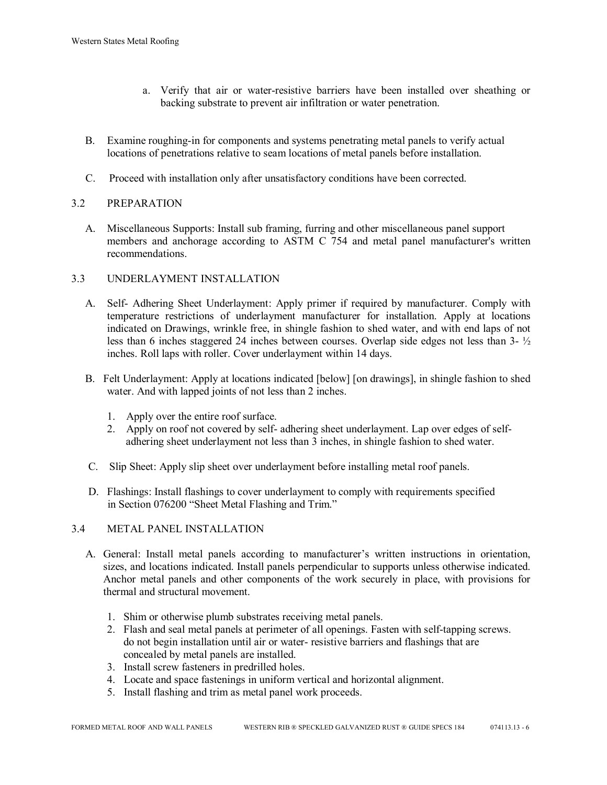- a. Verify that air or water-resistive barriers have been installed over sheathing or backing substrate to prevent air infiltration or water penetration.
- B. Examine roughing-in for components and systems penetrating metal panels to verify actual locations of penetrations relative to seam locations of metal panels before installation.
- C. Proceed with installation only after unsatisfactory conditions have been corrected.

## 3.2 PREPARATION

 A. Miscellaneous Supports: Install sub framing, furring and other miscellaneous panel support members and anchorage according to ASTM C 754 and metal panel manufacturer's written recommendations.

## 3.3 UNDERLAYMENT INSTALLATION

- A. Self- Adhering Sheet Underlayment: Apply primer if required by manufacturer. Comply with temperature restrictions of underlayment manufacturer for installation. Apply at locations indicated on Drawings, wrinkle free, in shingle fashion to shed water, and with end laps of not less than 6 inches staggered 24 inches between courses. Overlap side edges not less than 3- ½ inches. Roll laps with roller. Cover underlayment within 14 days.
- B. Felt Underlayment: Apply at locations indicated [below] [on drawings], in shingle fashion to shed water. And with lapped joints of not less than 2 inches.
	- 1. Apply over the entire roof surface.
	- 2. Apply on roof not covered by self- adhering sheet underlayment. Lap over edges of self adhering sheet underlayment not less than 3 inches, in shingle fashion to shed water.
- C. Slip Sheet: Apply slip sheet over underlayment before installing metal roof panels.
- D. Flashings: Install flashings to cover underlayment to comply with requirements specified in Section 076200 "Sheet Metal Flashing and Trim."

#### 3.4 METAL PANEL INSTALLATION

- A. General: Install metal panels according to manufacturer's written instructions in orientation, sizes, and locations indicated. Install panels perpendicular to supports unless otherwise indicated. Anchor metal panels and other components of the work securely in place, with provisions for thermal and structural movement.
	- 1. Shim or otherwise plumb substrates receiving metal panels.
	- 2. Flash and seal metal panels at perimeter of all openings. Fasten with self-tapping screws. do not begin installation until air or water- resistive barriers and flashings that are concealed by metal panels are installed.
	- 3. Install screw fasteners in predrilled holes.
	- 4. Locate and space fastenings in uniform vertical and horizontal alignment.
	- 5. Install flashing and trim as metal panel work proceeds.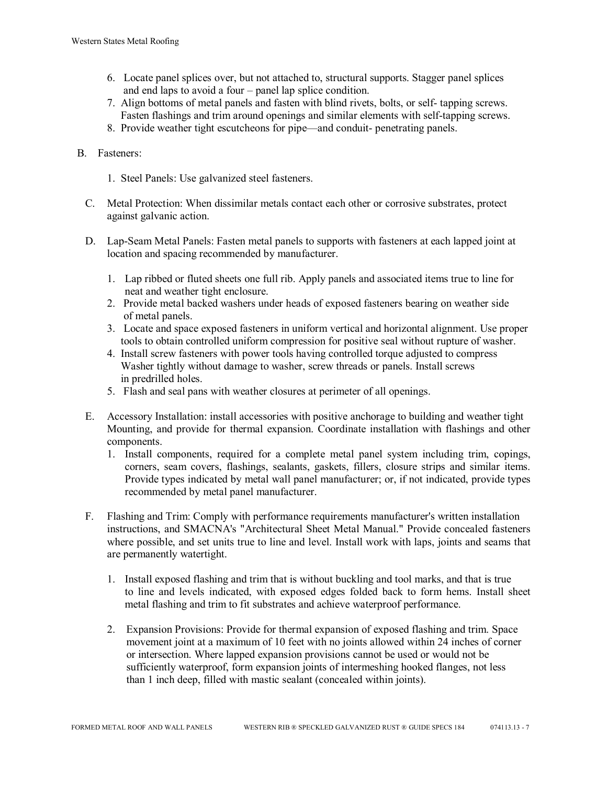- 6. Locate panel splices over, but not attached to, structural supports. Stagger panel splices and end laps to avoid a four – panel lap splice condition.
- 7. Align bottoms of metal panels and fasten with blind rivets, bolts, or self- tapping screws. Fasten flashings and trim around openings and similar elements with self-tapping screws.
- 8. Provide weather tight escutcheons for pipe—and conduit- penetrating panels.

## B. Fasteners:

- 1. Steel Panels: Use galvanized steel fasteners.
- C. Metal Protection: When dissimilar metals contact each other or corrosive substrates, protect against galvanic action.
- D. Lap-Seam Metal Panels: Fasten metal panels to supports with fasteners at each lapped joint at location and spacing recommended by manufacturer.
	- 1. Lap ribbed or fluted sheets one full rib. Apply panels and associated items true to line for neat and weather tight enclosure.
	- 2. Provide metal backed washers under heads of exposed fasteners bearing on weather side of metal panels.
	- 3. Locate and space exposed fasteners in uniform vertical and horizontal alignment. Use proper tools to obtain controlled uniform compression for positive seal without rupture of washer.
	- 4. Install screw fasteners with power tools having controlled torque adjusted to compress Washer tightly without damage to washer, screw threads or panels. Install screws in predrilled holes.
	- 5. Flash and seal pans with weather closures at perimeter of all openings.
- E. Accessory Installation: install accessories with positive anchorage to building and weather tight Mounting, and provide for thermal expansion. Coordinate installation with flashings and other components.
	- 1. Install components, required for a complete metal panel system including trim, copings, corners, seam covers, flashings, sealants, gaskets, fillers, closure strips and similar items. Provide types indicated by metal wall panel manufacturer; or, if not indicated, provide types recommended by metal panel manufacturer.
- F. Flashing and Trim: Comply with performance requirements manufacturer's written installation instructions, and SMACNA's "Architectural Sheet Metal Manual." Provide concealed fasteners where possible, and set units true to line and level. Install work with laps, joints and seams that are permanently watertight.
	- 1. Install exposed flashing and trim that is without buckling and tool marks, and that is true to line and levels indicated, with exposed edges folded back to form hems. Install sheet metal flashing and trim to fit substrates and achieve waterproof performance.
	- 2. Expansion Provisions: Provide for thermal expansion of exposed flashing and trim. Space movement joint at a maximum of 10 feet with no joints allowed within 24 inches of corner or intersection. Where lapped expansion provisions cannot be used or would not be sufficiently waterproof, form expansion joints of intermeshing hooked flanges, not less than 1 inch deep, filled with mastic sealant (concealed within joints).